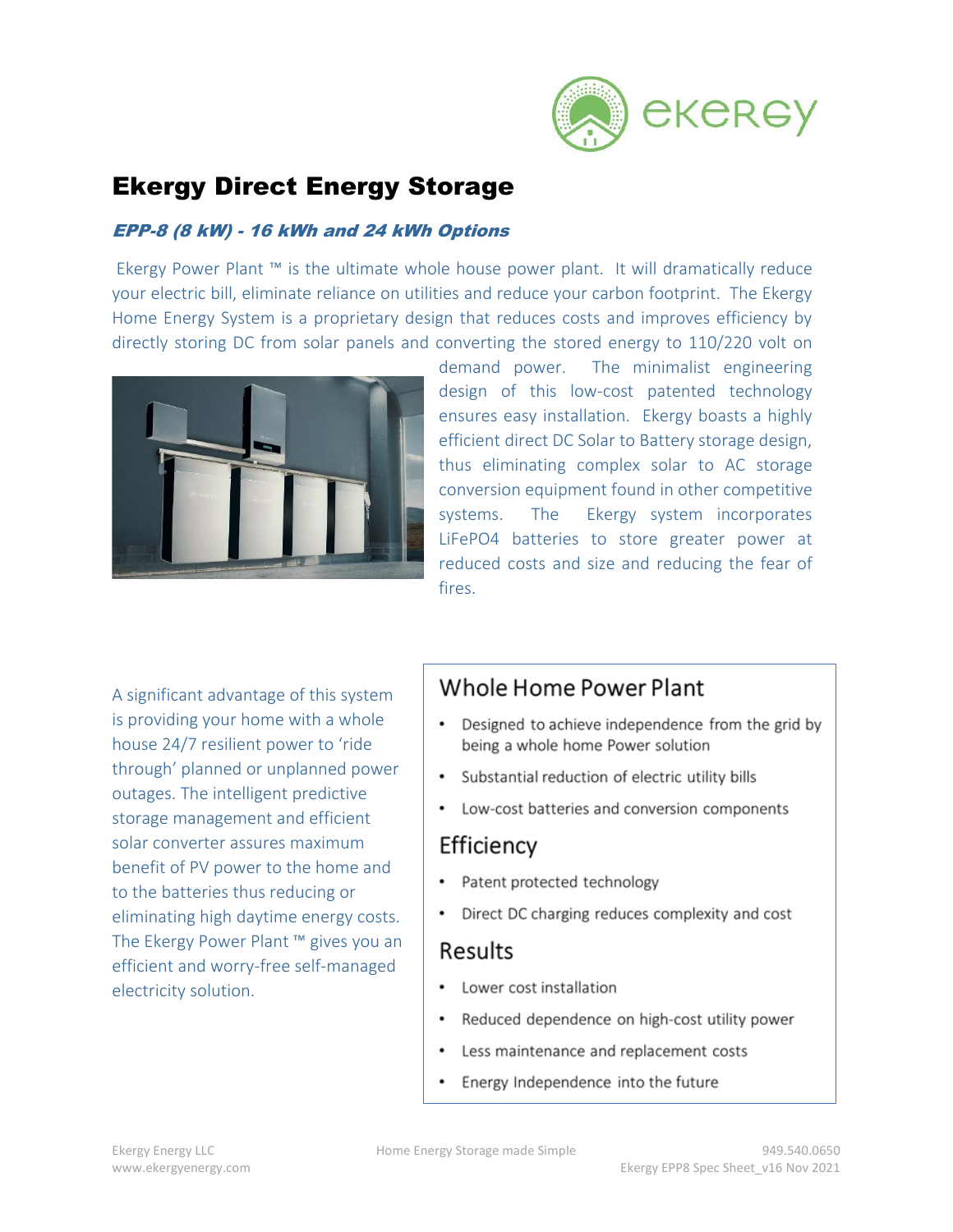

# Ekergy Direct Energy Storage

### EPP-8 (8 kW) - 16 kWh and 24 kWh Options

Ekergy Power Plant ™ is the ultimate whole house power plant. It will dramatically reduce your electric bill, eliminate reliance on utilities and reduce your carbon footprint. The Ekergy Home Energy System is a proprietary design that reduces costs and improves efficiency by directly storing DC from solar panels and converting the stored energy to 110/220 volt on



demand power. The minimalist engineering design of this low-cost patented technology ensures easy installation. Ekergy boasts a highly efficient direct DC Solar to Battery storage design, thus eliminating complex solar to AC storage conversion equipment found in other competitive systems. The Ekergy system incorporates LiFePO4 batteries to store greater power at reduced costs and size and reducing the fear of fires.

A significant advantage of this system is providing your home with a whole house 24/7 resilient power to 'ride through' planned or unplanned power outages. The intelligent predictive storage management and efficient solar converter assures maximum benefit of PV power to the home and to the batteries thus reducing or eliminating high daytime energy costs. The Ekergy Power Plant ™ gives you an efficient and worry-free self-managed electricity solution.

## Whole Home Power Plant

- Designed to achieve independence from the grid by being a whole home Power solution
- Substantial reduction of electric utility bills
- Low-cost batteries and conversion components  $\bullet$

# Efficiency

- Patent protected technology
- Direct DC charging reduces complexity and cost

# Results

- Lower cost installation
- Reduced dependence on high-cost utility power
- Less maintenance and replacement costs
- Energy Independence into the future